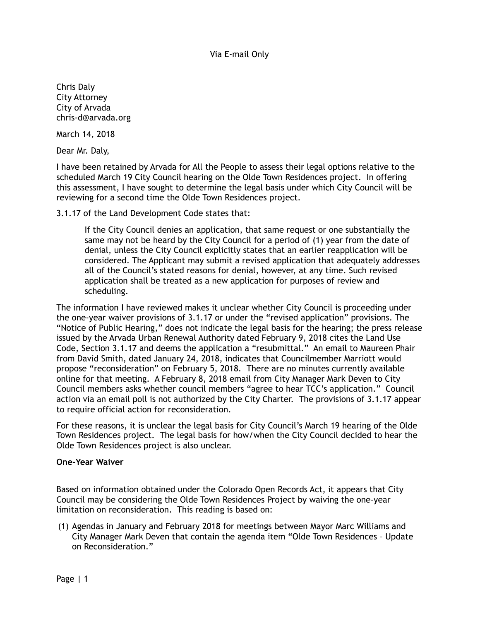Chris Daly City Attorney City of Arvada chris-d@arvada.org

March 14, 2018

Dear Mr. Daly,

I have been retained by Arvada for All the People to assess their legal options relative to the scheduled March 19 City Council hearing on the Olde Town Residences project. In offering this assessment, I have sought to determine the legal basis under which City Council will be reviewing for a second time the Olde Town Residences project.

3.1.17 of the Land Development Code states that:

If the City Council denies an application, that same request or one substantially the same may not be heard by the City Council for a period of (1) year from the date of denial, unless the City Council explicitly states that an earlier reapplication will be considered. The Applicant may submit a revised application that adequately addresses all of the Council's stated reasons for denial, however, at any time. Such revised application shall be treated as a new application for purposes of review and scheduling.

The information I have reviewed makes it unclear whether City Council is proceeding under the one-year waiver provisions of 3.1.17 or under the "revised application" provisions. The "Notice of Public Hearing," does not indicate the legal basis for the hearing; the press release issued by the Arvada Urban Renewal Authority dated February 9, 2018 cites the Land Use Code, Section 3.1.17 and deems the application a "resubmittal." An email to Maureen Phair from David Smith, dated January 24, 2018, indicates that Councilmember Marriott would propose "reconsideration" on February 5, 2018. There are no minutes currently available online for that meeting. A February 8, 2018 email from City Manager Mark Deven to City Council members asks whether council members "agree to hear TCC's application." Council action via an email poll is not authorized by the City Charter. The provisions of 3.1.17 appear to require official action for reconsideration.

For these reasons, it is unclear the legal basis for City Council's March 19 hearing of the Olde Town Residences project. The legal basis for how/when the City Council decided to hear the Olde Town Residences project is also unclear.

## **One-Year Waiver**

Based on information obtained under the Colorado Open Records Act, it appears that City Council may be considering the Olde Town Residences Project by waiving the one-year limitation on reconsideration. This reading is based on:

(1) Agendas in January and February 2018 for meetings between Mayor Marc Williams and City Manager Mark Deven that contain the agenda item "Olde Town Residences – Update on Reconsideration."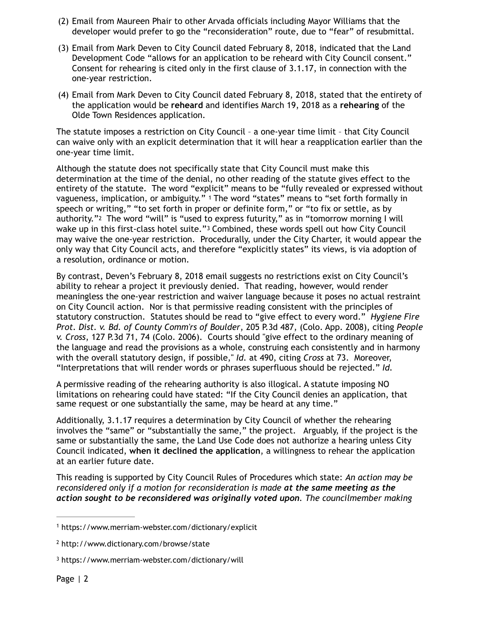- (2) Email from Maureen Phair to other Arvada officials including Mayor Williams that the developer would prefer to go the "reconsideration" route, due to "fear" of resubmittal.
- (3) Email from Mark Deven to City Council dated February 8, 2018, indicated that the Land Development Code "allows for an application to be reheard with City Council consent." Consent for rehearing is cited only in the first clause of 3.1.17, in connection with the one-year restriction.
- (4) Email from Mark Deven to City Council dated February 8, 2018, stated that the entirety of the application would be **reheard** and identifies March 19, 2018 as a **rehearing** of the Olde Town Residences application.

The statute imposes a restriction on City Council – a one-year time limit – that City Council can waive only with an explicit determination that it will hear a reapplication earlier than the one-year time limit.

<span id="page-1-4"></span><span id="page-1-3"></span>Although the statute does not specifically state that City Council must make this determination at the time of the denial, no other reading of the statute gives effect to the entirety of the statute. The word "explicit" means to be "fully revealed or expressed without vagueness, implication, or ambiguity." [1](#page-1-0) The word "states" means to "set forth formally in speech or writing," "to set forth in proper or definite form," or "to fix or settle, as by authority."<sup>2</sup>The word "will" is "used to express futurity," as in "tomorrow morning I will wake up in this first-class hotel suite."<sup>[3](#page-1-2)</sup> Combined, these words spell out how City Council may waive the one-year restriction. Procedurally, under the City Charter, it would appear the only way that City Council acts, and therefore "explicitly states" its views, is via adoption of a resolution, ordinance or motion.

<span id="page-1-5"></span>By contrast, Deven's February 8, 2018 email suggests no restrictions exist on City Council's ability to rehear a project it previously denied. That reading, however, would render meaningless the one-year restriction and waiver language because it poses no actual restraint on City Council action. Nor is that permissive reading consistent with the principles of statutory construction. Statutes should be read to "give effect to every word." *Hygiene Fire Prot. Dist. v. Bd. of County Comm'rs of Boulder*, 205 P.3d 487, (Colo. App. 2008), citing *People v. Cross*, 127 P.3d 71, 74 (Colo. 2006). Courts should "give effect to the ordinary meaning of the language and read the provisions as a whole, construing each consistently and in harmony with the overall statutory design, if possible," *Id.* at 490, citing *Cross* at 73. Moreover, "Interpretations that will render words or phrases superfluous should be rejected." *Id.*

A permissive reading of the rehearing authority is also illogical. A statute imposing NO limitations on rehearing could have stated: "If the City Council denies an application, that same request or one substantially the same, may be heard at any time."

Additionally, 3.1.17 requires a determination by City Council of whether the rehearing involves the "same" or "substantially the same," the project. Arguably, if the project is the same or substantially the same, the Land Use Code does not authorize a hearing unless City Council indicated, **when it declined the application**, a willingness to rehear the application at an earlier future date.

This reading is supported by City Council Rules of Procedures which state: *An action may be reconsidered only if a motion for reconsideration is made at the same meeting as the action sought to be reconsidered was originally voted upon. The councilmember making* 

<span id="page-1-0"></span>https://www.merriam-webster.com/dictionary/explicit [1](#page-1-3)

<span id="page-1-1"></span>http://www.dictionary.com/browse/state [2](#page-1-4)

<span id="page-1-2"></span><sup>&</sup>lt;sup>[3](#page-1-5)</sup> https://www.merriam-webster.com/dictionary/will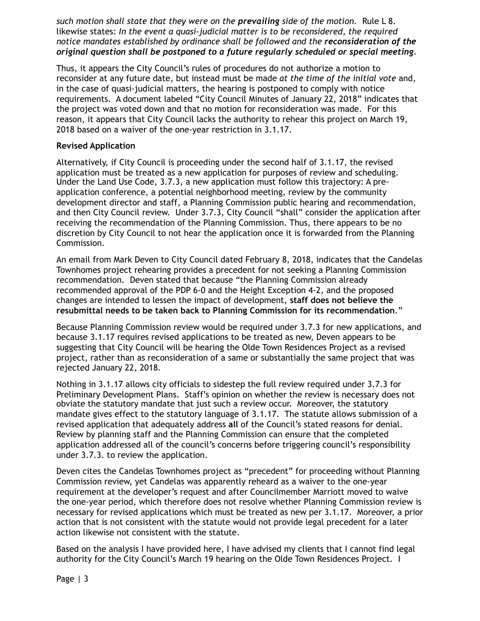*such motion shall state that they were on the prevailing side of the motion.* Rule L 8. likewise states: *In the event a quasi-judicial matter is to be reconsidered, the required notice mandates established by ordinance shall be followed and the reconsideration of the original question shall be postponed to a future regularly scheduled or special meeting*.

Thus, it appears the City Council's rules of procedures do not authorize a motion to reconsider at any future date, but instead must be made *at the time of the initial vote* and, in the case of quasi-judicial matters, the hearing is postponed to comply with notice requirements. A document labeled "City Council Minutes of January 22, 2018" indicates that the project was voted down and that no motion for reconsideration was made. For this reason, it appears that City Council lacks the authority to rehear this project on March 19, 2018 based on a waiver of the one-year restriction in 3.1.17.

## **Revised Application**

Alternatively, if City Council is proceeding under the second half of 3.1.17, the revised application must be treated as a new application for purposes of review and scheduling. Under the Land Use Code, 3.7.3, a new application must follow this trajectory: A preapplication conference, a potential neighborhood meeting, review by the community development director and staff, a Planning Commission public hearing and recommendation, and then City Council review. Under 3.7.3, City Council "shall" consider the application after receiving the recommendation of the Planning Commission. Thus, there appears to be no discretion by City Council to not hear the application once it is forwarded from the Planning Commission.

An email from Mark Deven to City Council dated February 8, 2018, indicates that the Candelas Townhomes project rehearing provides a precedent for not seeking a Planning Commission recommendation. Deven stated that because "the Planning Commission already recommended approval of the PDP 6-0 and the Height Exception 4-2, and the proposed changes are intended to lessen the impact of development, **staff does not believe the resubmittal needs to be taken back to Planning Commission for its recommendation**."

Because Planning Commission review would be required under 3.7.3 for new applications, and because 3.1.17 requires revised applications to be treated as new, Deven appears to be suggesting that City Council will be hearing the Olde Town Residences Project as a revised project, rather than as reconsideration of a same or substantially the same project that was rejected January 22, 2018.

Nothing in 3.1.17 allows city officials to sidestep the full review required under 3.7.3 for Preliminary Development Plans. Staff's opinion on whether the review is necessary does not obviate the statutory mandate that just such a review occur. Moreover, the statutory mandate gives effect to the statutory language of 3.1.17. The statute allows submission of a revised application that adequately address **all** of the Council's stated reasons for denial. Review by planning staff and the Planning Commission can ensure that the completed application addressed all of the council's concerns before triggering council's responsibility under 3.7.3. to review the application.

Deven cites the Candelas Townhomes project as "precedent" for proceeding without Planning Commission review, yet Candelas was apparently reheard as a waiver to the one-year requirement at the developer's request and after Councilmember Marriott moved to waive the one-year period, which therefore does not resolve whether Planning Commission review is necessary for revised applications which must be treated as new per 3.1.17. Moreover, a prior action that is not consistent with the statute would not provide legal precedent for a later action likewise not consistent with the statute.

Based on the analysis I have provided here, I have advised my clients that I cannot find legal authority for the City Council's March 19 hearing on the Olde Town Residences Project. I